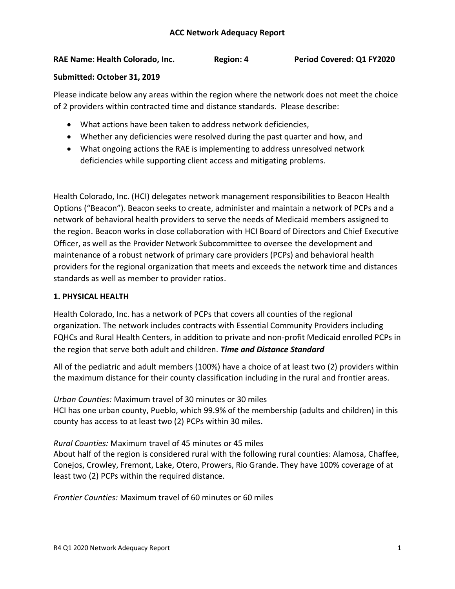### **RAE Name: Health Colorado, Inc. Region: 4 Period Covered: Q1 FY2020**

### **Submitted: October 31, 2019**

Please indicate below any areas within the region where the network does not meet the choice of 2 providers within contracted time and distance standards. Please describe:

- What actions have been taken to address network deficiencies,
- Whether any deficiencies were resolved during the past quarter and how, and
- What ongoing actions the RAE is implementing to address unresolved network deficiencies while supporting client access and mitigating problems.

Health Colorado, Inc. (HCI) delegates network management responsibilities to Beacon Health Options ("Beacon"). Beacon seeks to create, administer and maintain a network of PCPs and a network of behavioral health providers to serve the needs of Medicaid members assigned to the region. Beacon works in close collaboration with HCI Board of Directors and Chief Executive Officer, as well as the Provider Network Subcommittee to oversee the development and maintenance of a robust network of primary care providers (PCPs) and behavioral health providers for the regional organization that meets and exceeds the network time and distances standards as well as member to provider ratios.

## **1. PHYSICAL HEALTH**

Health Colorado, Inc. has a network of PCPs that covers all counties of the regional organization. The network includes contracts with Essential Community Providers including FQHCs and Rural Health Centers, in addition to private and non-profit Medicaid enrolled PCPs in the region that serve both adult and children. *Time and Distance Standard*

All of the pediatric and adult members (100%) have a choice of at least two (2) providers within the maximum distance for their county classification including in the rural and frontier areas.

*Urban Counties:* Maximum travel of 30 minutes or 30 miles HCI has one urban county, Pueblo, which 99.9% of the membership (adults and children) in this county has access to at least two (2) PCPs within 30 miles.

*Rural Counties:* Maximum travel of 45 minutes or 45 miles About half of the region is considered rural with the following rural counties: Alamosa, Chaffee, Conejos, Crowley, Fremont, Lake, Otero, Prowers, Rio Grande. They have 100% coverage of at least two (2) PCPs within the required distance.

*Frontier Counties:* Maximum travel of 60 minutes or 60 miles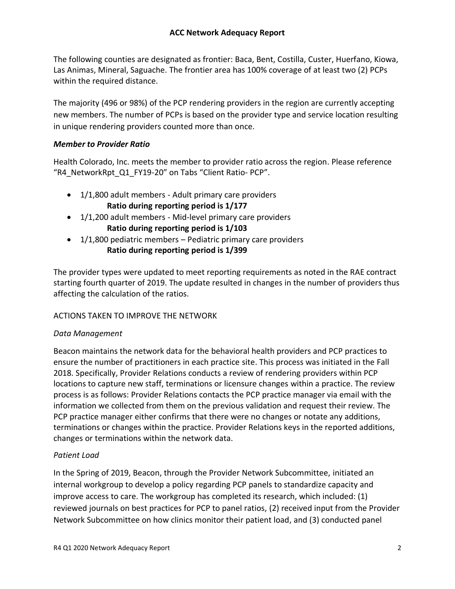The following counties are designated as frontier: Baca, Bent, Costilla, Custer, Huerfano, Kiowa, Las Animas, Mineral, Saguache. The frontier area has 100% coverage of at least two (2) PCPs within the required distance.

The majority (496 or 98%) of the PCP rendering providers in the region are currently accepting new members. The number of PCPs is based on the provider type and service location resulting in unique rendering providers counted more than once.

## *Member to Provider Ratio*

Health Colorado, Inc. meets the member to provider ratio across the region. Please reference "R4\_NetworkRpt\_Q1\_FY19-20" on Tabs "Client Ratio- PCP".

- 1/1,800 adult members Adult primary care providers **Ratio during reporting period is 1/177**
- 1/1,200 adult members Mid-level primary care providers **Ratio during reporting period is 1/103**
- $\bullet$  1/1,800 pediatric members Pediatric primary care providers **Ratio during reporting period is 1/399**

The provider types were updated to meet reporting requirements as noted in the RAE contract starting fourth quarter of 2019. The update resulted in changes in the number of providers thus affecting the calculation of the ratios.

## ACTIONS TAKEN TO IMPROVE THE NETWORK

## *Data Management*

Beacon maintains the network data for the behavioral health providers and PCP practices to ensure the number of practitioners in each practice site. This process was initiated in the Fall 2018. Specifically, Provider Relations conducts a review of rendering providers within PCP locations to capture new staff, terminations or licensure changes within a practice. The review process is as follows: Provider Relations contacts the PCP practice manager via email with the information we collected from them on the previous validation and request their review. The PCP practice manager either confirms that there were no changes or notate any additions, terminations or changes within the practice. Provider Relations keys in the reported additions, changes or terminations within the network data.

## *Patient Load*

In the Spring of 2019, Beacon, through the Provider Network Subcommittee, initiated an internal workgroup to develop a policy regarding PCP panels to standardize capacity and improve access to care. The workgroup has completed its research, which included: (1) reviewed journals on best practices for PCP to panel ratios, (2) received input from the Provider Network Subcommittee on how clinics monitor their patient load, and (3) conducted panel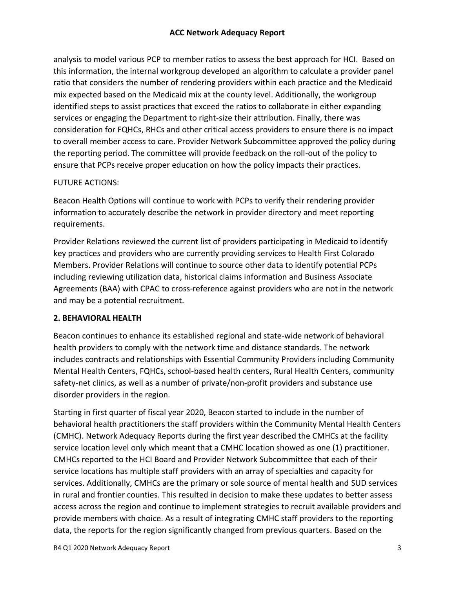analysis to model various PCP to member ratios to assess the best approach for HCI. Based on this information, the internal workgroup developed an algorithm to calculate a provider panel ratio that considers the number of rendering providers within each practice and the Medicaid mix expected based on the Medicaid mix at the county level. Additionally, the workgroup identified steps to assist practices that exceed the ratios to collaborate in either expanding services or engaging the Department to right-size their attribution. Finally, there was consideration for FQHCs, RHCs and other critical access providers to ensure there is no impact to overall member access to care. Provider Network Subcommittee approved the policy during the reporting period. The committee will provide feedback on the roll-out of the policy to ensure that PCPs receive proper education on how the policy impacts their practices.

## FUTURE ACTIONS:

Beacon Health Options will continue to work with PCPs to verify their rendering provider information to accurately describe the network in provider directory and meet reporting requirements.

Provider Relations reviewed the current list of providers participating in Medicaid to identify key practices and providers who are currently providing services to Health First Colorado Members. Provider Relations will continue to source other data to identify potential PCPs including reviewing utilization data, historical claims information and Business Associate Agreements (BAA) with CPAC to cross-reference against providers who are not in the network and may be a potential recruitment.

## **2. BEHAVIORAL HEALTH**

Beacon continues to enhance its established regional and state-wide network of behavioral health providers to comply with the network time and distance standards. The network includes contracts and relationships with Essential Community Providers including Community Mental Health Centers, FQHCs, school-based health centers, Rural Health Centers, community safety-net clinics, as well as a number of private/non-profit providers and substance use disorder providers in the region.

Starting in first quarter of fiscal year 2020, Beacon started to include in the number of behavioral health practitioners the staff providers within the Community Mental Health Centers (CMHC). Network Adequacy Reports during the first year described the CMHCs at the facility service location level only which meant that a CMHC location showed as one (1) practitioner. CMHCs reported to the HCI Board and Provider Network Subcommittee that each of their service locations has multiple staff providers with an array of specialties and capacity for services. Additionally, CMHCs are the primary or sole source of mental health and SUD services in rural and frontier counties. This resulted in decision to make these updates to better assess access across the region and continue to implement strategies to recruit available providers and provide members with choice. As a result of integrating CMHC staff providers to the reporting data, the reports for the region significantly changed from previous quarters. Based on the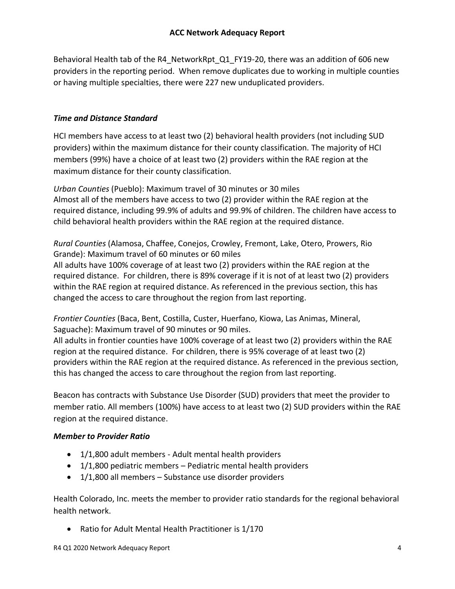Behavioral Health tab of the R4 NetworkRpt Q1 FY19-20, there was an addition of 606 new providers in the reporting period. When remove duplicates due to working in multiple counties or having multiple specialties, there were 227 new unduplicated providers.

## *Time and Distance Standard*

HCI members have access to at least two (2) behavioral health providers (not including SUD providers) within the maximum distance for their county classification. The majority of HCI members (99%) have a choice of at least two (2) providers within the RAE region at the maximum distance for their county classification.

*Urban Counties* (Pueblo): Maximum travel of 30 minutes or 30 miles Almost all of the members have access to two (2) provider within the RAE region at the required distance, including 99.9% of adults and 99.9% of children. The children have access to child behavioral health providers within the RAE region at the required distance.

*Rural Counties* (Alamosa, Chaffee, Conejos, Crowley, Fremont, Lake, Otero, Prowers, Rio Grande): Maximum travel of 60 minutes or 60 miles

All adults have 100% coverage of at least two (2) providers within the RAE region at the required distance. For children, there is 89% coverage if it is not of at least two (2) providers within the RAE region at required distance. As referenced in the previous section, this has changed the access to care throughout the region from last reporting.

*Frontier Counties* (Baca, Bent, Costilla, Custer, Huerfano, Kiowa, Las Animas, Mineral, Saguache): Maximum travel of 90 minutes or 90 miles.

All adults in frontier counties have 100% coverage of at least two (2) providers within the RAE region at the required distance. For children, there is 95% coverage of at least two (2) providers within the RAE region at the required distance. As referenced in the previous section, this has changed the access to care throughout the region from last reporting.

Beacon has contracts with Substance Use Disorder (SUD) providers that meet the provider to member ratio. All members (100%) have access to at least two (2) SUD providers within the RAE region at the required distance.

## *Member to Provider Ratio*

- 1/1,800 adult members Adult mental health providers
- 1/1,800 pediatric members Pediatric mental health providers
- 1/1,800 all members Substance use disorder providers

Health Colorado, Inc. meets the member to provider ratio standards for the regional behavioral health network.

• Ratio for Adult Mental Health Practitioner is 1/170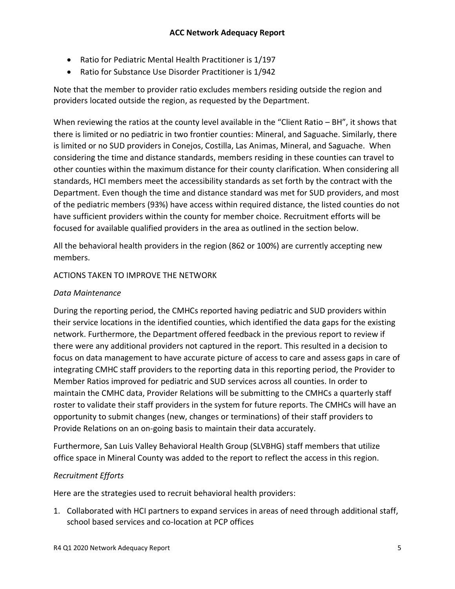- Ratio for Pediatric Mental Health Practitioner is 1/197
- Ratio for Substance Use Disorder Practitioner is 1/942

Note that the member to provider ratio excludes members residing outside the region and providers located outside the region, as requested by the Department.

When reviewing the ratios at the county level available in the "Client Ratio – BH", it shows that there is limited or no pediatric in two frontier counties: Mineral, and Saguache. Similarly, there is limited or no SUD providers in Conejos, Costilla, Las Animas, Mineral, and Saguache. When considering the time and distance standards, members residing in these counties can travel to other counties within the maximum distance for their county clarification. When considering all standards, HCI members meet the accessibility standards as set forth by the contract with the Department. Even though the time and distance standard was met for SUD providers, and most of the pediatric members (93%) have access within required distance, the listed counties do not have sufficient providers within the county for member choice. Recruitment efforts will be focused for available qualified providers in the area as outlined in the section below.

All the behavioral health providers in the region (862 or 100%) are currently accepting new members.

## ACTIONS TAKEN TO IMPROVE THE NETWORK

### *Data Maintenance*

During the reporting period, the CMHCs reported having pediatric and SUD providers within their service locations in the identified counties, which identified the data gaps for the existing network. Furthermore, the Department offered feedback in the previous report to review if there were any additional providers not captured in the report. This resulted in a decision to focus on data management to have accurate picture of access to care and assess gaps in care of integrating CMHC staff providers to the reporting data in this reporting period, the Provider to Member Ratios improved for pediatric and SUD services across all counties. In order to maintain the CMHC data, Provider Relations will be submitting to the CMHCs a quarterly staff roster to validate their staff providers in the system for future reports. The CMHCs will have an opportunity to submit changes (new, changes or terminations) of their staff providers to Provide Relations on an on-going basis to maintain their data accurately.

Furthermore, San Luis Valley Behavioral Health Group (SLVBHG) staff members that utilize office space in Mineral County was added to the report to reflect the access in this region.

## *Recruitment Efforts*

Here are the strategies used to recruit behavioral health providers:

1. Collaborated with HCI partners to expand services in areas of need through additional staff, school based services and co-location at PCP offices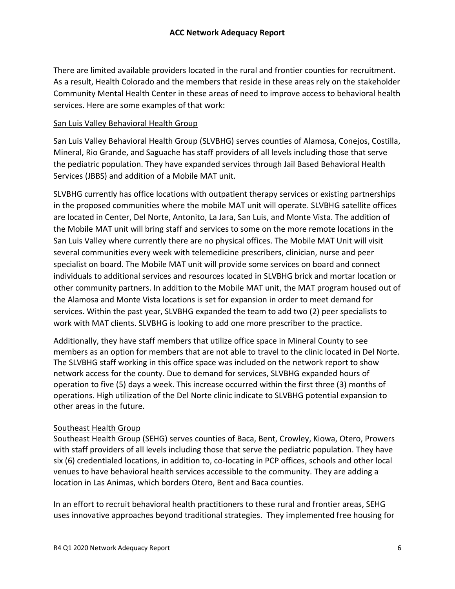There are limited available providers located in the rural and frontier counties for recruitment. As a result, Health Colorado and the members that reside in these areas rely on the stakeholder Community Mental Health Center in these areas of need to improve access to behavioral health services. Here are some examples of that work:

### San Luis Valley Behavioral Health Group

San Luis Valley Behavioral Health Group (SLVBHG) serves counties of Alamosa, Conejos, Costilla, Mineral, Rio Grande, and Saguache has staff providers of all levels including those that serve the pediatric population. They have expanded services through Jail Based Behavioral Health Services (JBBS) and addition of a Mobile MAT unit.

SLVBHG currently has office locations with outpatient therapy services or existing partnerships in the proposed communities where the mobile MAT unit will operate. SLVBHG satellite offices are located in Center, Del Norte, Antonito, La Jara, San Luis, and Monte Vista. The addition of the Mobile MAT unit will bring staff and services to some on the more remote locations in the San Luis Valley where currently there are no physical offices. The Mobile MAT Unit will visit several communities every week with telemedicine prescribers, clinician, nurse and peer specialist on board. The Mobile MAT unit will provide some services on board and connect individuals to additional services and resources located in SLVBHG brick and mortar location or other community partners. In addition to the Mobile MAT unit, the MAT program housed out of the Alamosa and Monte Vista locations is set for expansion in order to meet demand for services. Within the past year, SLVBHG expanded the team to add two (2) peer specialists to work with MAT clients. SLVBHG is looking to add one more prescriber to the practice.

Additionally, they have staff members that utilize office space in Mineral County to see members as an option for members that are not able to travel to the clinic located in Del Norte. The SLVBHG staff working in this office space was included on the network report to show network access for the county. Due to demand for services, SLVBHG expanded hours of operation to five (5) days a week. This increase occurred within the first three (3) months of operations. High utilization of the Del Norte clinic indicate to SLVBHG potential expansion to other areas in the future.

## Southeast Health Group

Southeast Health Group (SEHG) serves counties of Baca, Bent, Crowley, Kiowa, Otero, Prowers with staff providers of all levels including those that serve the pediatric population. They have six (6) credentialed locations, in addition to, co-locating in PCP offices, schools and other local venues to have behavioral health services accessible to the community. They are adding a location in Las Animas, which borders Otero, Bent and Baca counties.

In an effort to recruit behavioral health practitioners to these rural and frontier areas, SEHG uses innovative approaches beyond traditional strategies. They implemented free housing for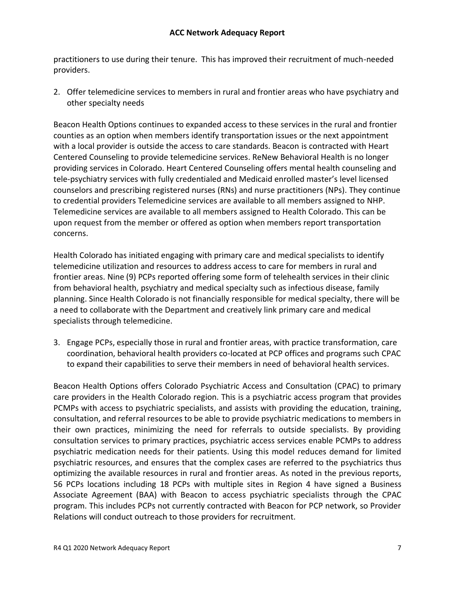practitioners to use during their tenure. This has improved their recruitment of much-needed providers.

2. Offer telemedicine services to members in rural and frontier areas who have psychiatry and other specialty needs

Beacon Health Options continues to expanded access to these services in the rural and frontier counties as an option when members identify transportation issues or the next appointment with a local provider is outside the access to care standards. Beacon is contracted with Heart Centered Counseling to provide telemedicine services. ReNew Behavioral Health is no longer providing services in Colorado. Heart Centered Counseling offers mental health counseling and tele-psychiatry services with fully credentialed and Medicaid enrolled master's level licensed counselors and prescribing registered nurses (RNs) and nurse practitioners (NPs). They continue to credential providers Telemedicine services are available to all members assigned to NHP. Telemedicine services are available to all members assigned to Health Colorado. This can be upon request from the member or offered as option when members report transportation concerns.

Health Colorado has initiated engaging with primary care and medical specialists to identify telemedicine utilization and resources to address access to care for members in rural and frontier areas. Nine (9) PCPs reported offering some form of telehealth services in their clinic from behavioral health, psychiatry and medical specialty such as infectious disease, family planning. Since Health Colorado is not financially responsible for medical specialty, there will be a need to collaborate with the Department and creatively link primary care and medical specialists through telemedicine.

3. Engage PCPs, especially those in rural and frontier areas, with practice transformation, care coordination, behavioral health providers co-located at PCP offices and programs such CPAC to expand their capabilities to serve their members in need of behavioral health services.

Beacon Health Options offers Colorado Psychiatric Access and Consultation (CPAC) to primary care providers in the Health Colorado region. This is a psychiatric access program that provides PCMPs with access to psychiatric specialists, and assists with providing the education, training, consultation, and referral resources to be able to provide psychiatric medications to members in their own practices, minimizing the need for referrals to outside specialists. By providing consultation services to primary practices, psychiatric access services enable PCMPs to address psychiatric medication needs for their patients. Using this model reduces demand for limited psychiatric resources, and ensures that the complex cases are referred to the psychiatrics thus optimizing the available resources in rural and frontier areas. As noted in the previous reports, 56 PCPs locations including 18 PCPs with multiple sites in Region 4 have signed a Business Associate Agreement (BAA) with Beacon to access psychiatric specialists through the CPAC program. This includes PCPs not currently contracted with Beacon for PCP network, so Provider Relations will conduct outreach to those providers for recruitment.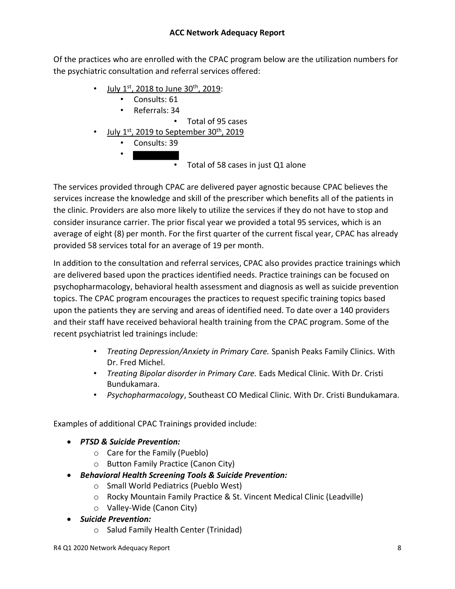Of the practices who are enrolled with the CPAC program below are the utilization numbers for the psychiatric consultation and referral services offered:

- July  $1^{st}$ , 2018 to June 30<sup>th</sup>, 2019:
	- Consults: 61
		- Referrals: 34

• Total of 95 cases

- <u>July 1st, 2019 to September 30th, 2019</u>
	- Consults: 39
	- •

• Total of 58 cases in just Q1 alone

The services provided through CPAC are delivered payer agnostic because CPAC believes the services increase the knowledge and skill of the prescriber which benefits all of the patients in the clinic. Providers are also more likely to utilize the services if they do not have to stop and consider insurance carrier. The prior fiscal year we provided a total 95 services, which is an average of eight (8) per month. For the first quarter of the current fiscal year, CPAC has already provided 58 services total for an average of 19 per month.

In addition to the consultation and referral services, CPAC also provides practice trainings which are delivered based upon the practices identified needs. Practice trainings can be focused on psychopharmacology, behavioral health assessment and diagnosis as well as suicide prevention topics. The CPAC program encourages the practices to request specific training topics based upon the patients they are serving and areas of identified need. To date over a 140 providers and their staff have received behavioral health training from the CPAC program. Some of the recent psychiatrist led trainings include:

- *Treating Depression/Anxiety in Primary Care.* Spanish Peaks Family Clinics. With Dr. Fred Michel.
- *Treating Bipolar disorder in Primary Care.* Eads Medical Clinic. With Dr. Cristi Bundukamara.
- *Psychopharmacology*, Southeast CO Medical Clinic. With Dr. Cristi Bundukamara.

Examples of additional CPAC Trainings provided include:

- *PTSD & Suicide Prevention:* 
	- o Care for the Family (Pueblo)
	- o Button Family Practice (Canon City)
- *Behavioral Health Screening Tools & Suicide Prevention:* 
	- o Small World Pediatrics (Pueblo West)
	- o Rocky Mountain Family Practice & St. Vincent Medical Clinic (Leadville)
	- o Valley-Wide (Canon City)
- *Suicide Prevention:* 
	- o Salud Family Health Center (Trinidad)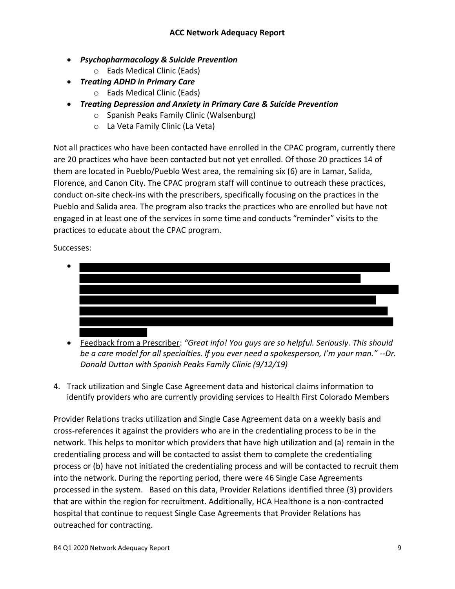- *Psychopharmacology & Suicide Prevention*
	- o Eads Medical Clinic (Eads)
- *Treating ADHD in Primary Care*
	- o Eads Medical Clinic (Eads)
- *Treating Depression and Anxiety in Primary Care & Suicide Prevention*
	- o Spanish Peaks Family Clinic (Walsenburg)
	- o La Veta Family Clinic (La Veta)

Not all practices who have been contacted have enrolled in the CPAC program, currently there are 20 practices who have been contacted but not yet enrolled. Of those 20 practices 14 of them are located in Pueblo/Pueblo West area, the remaining six (6) are in Lamar, Salida, Florence, and Canon City. The CPAC program staff will continue to outreach these practices, conduct on-site check-ins with the prescribers, specifically focusing on the practices in the Pueblo and Salida area. The program also tracks the practices who are enrolled but have not engaged in at least one of the services in some time and conducts "reminder" visits to the practices to educate about the CPAC program.

Successes:

•

• Feedback from a Prescriber: *"Great info! You guys are so helpful. Seriously. This should be a care model for all specialties. If you ever need a spokesperson, I'm your man." --Dr. Donald Dutton with Spanish Peaks Family Clinic (9/12/19)*

4. Track utilization and Single Case Agreement data and historical claims information to identify providers who are currently providing services to Health First Colorado Members

Provider Relations tracks utilization and Single Case Agreement data on a weekly basis and cross-references it against the providers who are in the credentialing process to be in the network. This helps to monitor which providers that have high utilization and (a) remain in the credentialing process and will be contacted to assist them to complete the credentialing process or (b) have not initiated the credentialing process and will be contacted to recruit them into the network. During the reporting period, there were 46 Single Case Agreements processed in the system. Based on this data, Provider Relations identified three (3) providers that are within the region for recruitment. Additionally, HCA Healthone is a non-contracted hospital that continue to request Single Case Agreements that Provider Relations has outreached for contracting.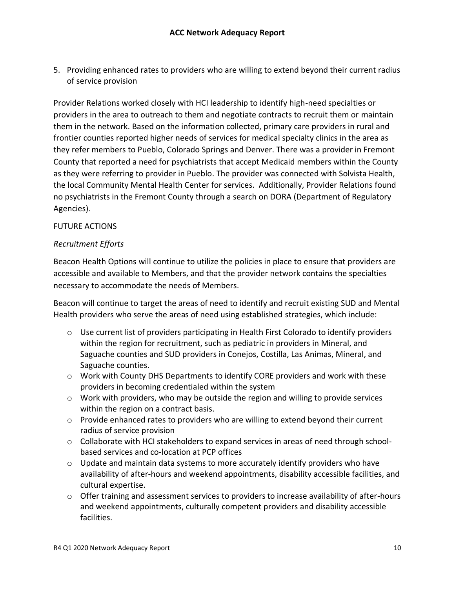5. Providing enhanced rates to providers who are willing to extend beyond their current radius of service provision

Provider Relations worked closely with HCI leadership to identify high-need specialties or providers in the area to outreach to them and negotiate contracts to recruit them or maintain them in the network. Based on the information collected, primary care providers in rural and frontier counties reported higher needs of services for medical specialty clinics in the area as they refer members to Pueblo, Colorado Springs and Denver. There was a provider in Fremont County that reported a need for psychiatrists that accept Medicaid members within the County as they were referring to provider in Pueblo. The provider was connected with Solvista Health, the local Community Mental Health Center for services. Additionally, Provider Relations found no psychiatrists in the Fremont County through a search on DORA (Department of Regulatory Agencies).

### FUTURE ACTIONS

### *Recruitment Efforts*

Beacon Health Options will continue to utilize the policies in place to ensure that providers are accessible and available to Members, and that the provider network contains the specialties necessary to accommodate the needs of Members.

Beacon will continue to target the areas of need to identify and recruit existing SUD and Mental Health providers who serve the areas of need using established strategies, which include:

- $\circ$  Use current list of providers participating in Health First Colorado to identify providers within the region for recruitment, such as pediatric in providers in Mineral, and Saguache counties and SUD providers in Conejos, Costilla, Las Animas, Mineral, and Saguache counties.
- o Work with County DHS Departments to identify CORE providers and work with these providers in becoming credentialed within the system
- o Work with providers, who may be outside the region and willing to provide services within the region on a contract basis.
- $\circ$  Provide enhanced rates to providers who are willing to extend beyond their current radius of service provision
- o Collaborate with HCI stakeholders to expand services in areas of need through schoolbased services and co-location at PCP offices
- $\circ$  Update and maintain data systems to more accurately identify providers who have availability of after-hours and weekend appointments, disability accessible facilities, and cultural expertise.
- $\circ$  Offer training and assessment services to providers to increase availability of after-hours and weekend appointments, culturally competent providers and disability accessible facilities.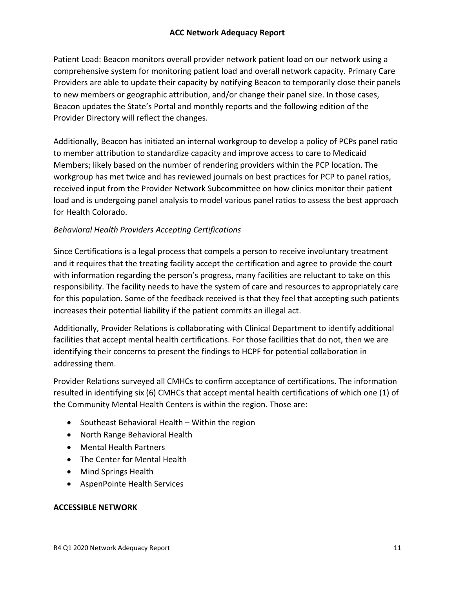## **ACC Network Adequacy Report**

Patient Load: Beacon monitors overall provider network patient load on our network using a comprehensive system for monitoring patient load and overall network capacity. Primary Care Providers are able to update their capacity by notifying Beacon to temporarily close their panels to new members or geographic attribution, and/or change their panel size. In those cases, Beacon updates the State's Portal and monthly reports and the following edition of the Provider Directory will reflect the changes.

Additionally, Beacon has initiated an internal workgroup to develop a policy of PCPs panel ratio to member attribution to standardize capacity and improve access to care to Medicaid Members; likely based on the number of rendering providers within the PCP location. The workgroup has met twice and has reviewed journals on best practices for PCP to panel ratios, received input from the Provider Network Subcommittee on how clinics monitor their patient load and is undergoing panel analysis to model various panel ratios to assess the best approach for Health Colorado.

## *Behavioral Health Providers Accepting Certifications*

Since Certifications is a legal process that compels a person to receive involuntary treatment and it requires that the treating facility accept the certification and agree to provide the court with information regarding the person's progress, many facilities are reluctant to take on this responsibility. The facility needs to have the system of care and resources to appropriately care for this population. Some of the feedback received is that they feel that accepting such patients increases their potential liability if the patient commits an illegal act.

Additionally, Provider Relations is collaborating with Clinical Department to identify additional facilities that accept mental health certifications. For those facilities that do not, then we are identifying their concerns to present the findings to HCPF for potential collaboration in addressing them.

Provider Relations surveyed all CMHCs to confirm acceptance of certifications. The information resulted in identifying six (6) CMHCs that accept mental health certifications of which one (1) of the Community Mental Health Centers is within the region. Those are:

- Southeast Behavioral Health Within the region
- North Range Behavioral Health
- Mental Health Partners
- The Center for Mental Health
- Mind Springs Health
- AspenPointe Health Services

#### **ACCESSIBLE NETWORK**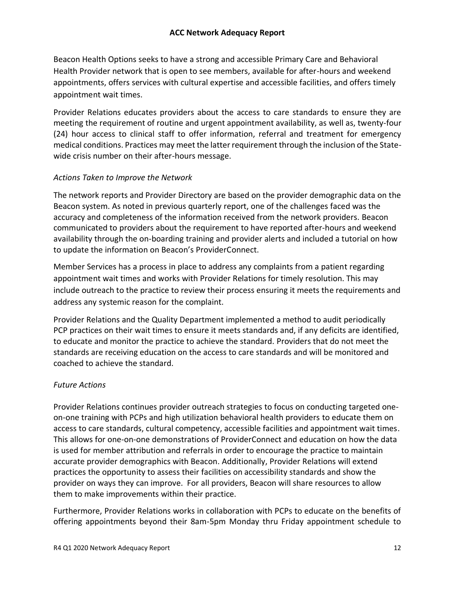## **ACC Network Adequacy Report**

Beacon Health Options seeks to have a strong and accessible Primary Care and Behavioral Health Provider network that is open to see members, available for after-hours and weekend appointments, offers services with cultural expertise and accessible facilities, and offers timely appointment wait times.

Provider Relations educates providers about the access to care standards to ensure they are meeting the requirement of routine and urgent appointment availability, as well as, twenty-four (24) hour access to clinical staff to offer information, referral and treatment for emergency medical conditions. Practices may meet the latter requirement through the inclusion of the Statewide crisis number on their after-hours message.

#### *Actions Taken to Improve the Network*

The network reports and Provider Directory are based on the provider demographic data on the Beacon system. As noted in previous quarterly report, one of the challenges faced was the accuracy and completeness of the information received from the network providers. Beacon communicated to providers about the requirement to have reported after-hours and weekend availability through the on-boarding training and provider alerts and included a tutorial on how to update the information on Beacon's ProviderConnect.

Member Services has a process in place to address any complaints from a patient regarding appointment wait times and works with Provider Relations for timely resolution. This may include outreach to the practice to review their process ensuring it meets the requirements and address any systemic reason for the complaint.

Provider Relations and the Quality Department implemented a method to audit periodically PCP practices on their wait times to ensure it meets standards and, if any deficits are identified, to educate and monitor the practice to achieve the standard. Providers that do not meet the standards are receiving education on the access to care standards and will be monitored and coached to achieve the standard.

## *Future Actions*

Provider Relations continues provider outreach strategies to focus on conducting targeted oneon-one training with PCPs and high utilization behavioral health providers to educate them on access to care standards, cultural competency, accessible facilities and appointment wait times. This allows for one-on-one demonstrations of ProviderConnect and education on how the data is used for member attribution and referrals in order to encourage the practice to maintain accurate provider demographics with Beacon. Additionally, Provider Relations will extend practices the opportunity to assess their facilities on accessibility standards and show the provider on ways they can improve. For all providers, Beacon will share resources to allow them to make improvements within their practice.

Furthermore, Provider Relations works in collaboration with PCPs to educate on the benefits of offering appointments beyond their 8am-5pm Monday thru Friday appointment schedule to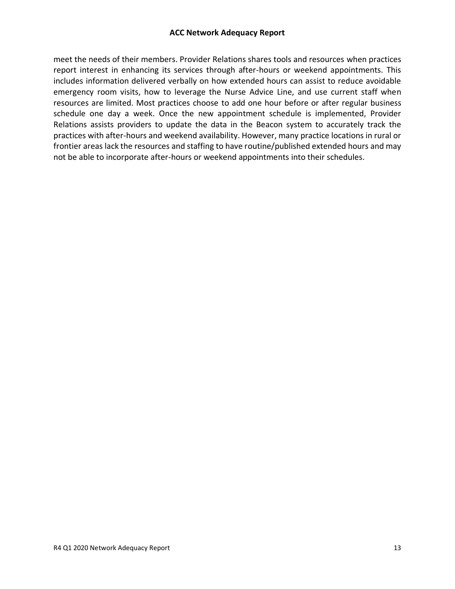meet the needs of their members. Provider Relations shares tools and resources when practices report interest in enhancing its services through after-hours or weekend appointments. This includes information delivered verbally on how extended hours can assist to reduce avoidable emergency room visits, how to leverage the Nurse Advice Line, and use current staff when resources are limited. Most practices choose to add one hour before or after regular business schedule one day a week. Once the new appointment schedule is implemented, Provider Relations assists providers to update the data in the Beacon system to accurately track the practices with after-hours and weekend availability. However, many practice locations in rural or frontier areas lack the resources and staffing to have routine/published extended hours and may not be able to incorporate after-hours or weekend appointments into their schedules.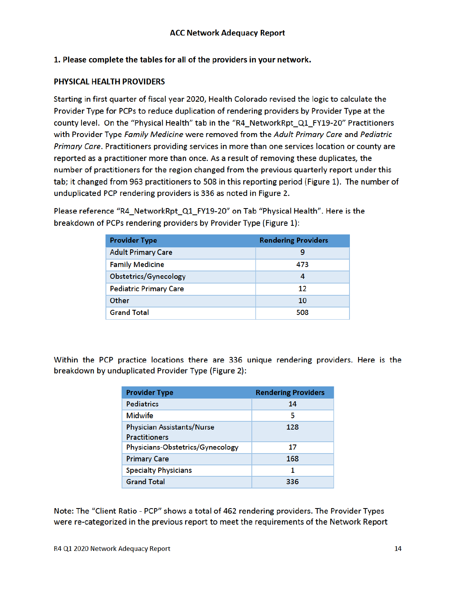### 1. Please complete the tables for all of the providers in your network.

#### PHYSICAL HEALTH PROVIDERS

Starting in first quarter of fiscal year 2020, Health Colorado revised the logic to calculate the Provider Type for PCPs to reduce duplication of rendering providers by Provider Type at the county level. On the "Physical Health" tab in the "R4\_NetworkRpt\_Q1\_FY19-20" Practitioners with Provider Type Family Medicine were removed from the Adult Primary Care and Pediatric Primary Care. Practitioners providing services in more than one services location or county are reported as a practitioner more than once. As a result of removing these duplicates, the number of practitioners for the region changed from the previous quarterly report under this tab; it changed from 963 practitioners to 508 in this reporting period (Figure 1). The number of unduplicated PCP rendering providers is 336 as noted in Figure 2.

Please reference "R4\_NetworkRpt\_Q1\_FY19-20" on Tab "Physical Health". Here is the breakdown of PCPs rendering providers by Provider Type (Figure 1):

| <b>Provider Type</b>          | <b>Rendering Providers</b> |
|-------------------------------|----------------------------|
| <b>Adult Primary Care</b>     | 9                          |
| <b>Family Medicine</b>        | 473                        |
| Obstetrics/Gynecology         | 4                          |
| <b>Pediatric Primary Care</b> | 12                         |
| Other                         | 10                         |
| <b>Grand Total</b>            | 508                        |

Within the PCP practice locations there are 336 unique rendering providers. Here is the breakdown by unduplicated Provider Type (Figure 2):

| <b>Provider Type</b>              | <b>Rendering Providers</b> |
|-----------------------------------|----------------------------|
| <b>Pediatrics</b>                 | 14                         |
| <b>Midwife</b>                    | 5                          |
| <b>Physician Assistants/Nurse</b> | 128                        |
| <b>Practitioners</b>              |                            |
| Physicians-Obstetrics/Gynecology  | 17                         |
| <b>Primary Care</b>               | 168                        |
| <b>Specialty Physicians</b>       | 1                          |
| <b>Grand Total</b>                | 336                        |

Note: The "Client Ratio - PCP" shows a total of 462 rendering providers. The Provider Types were re-categorized in the previous report to meet the requirements of the Network Report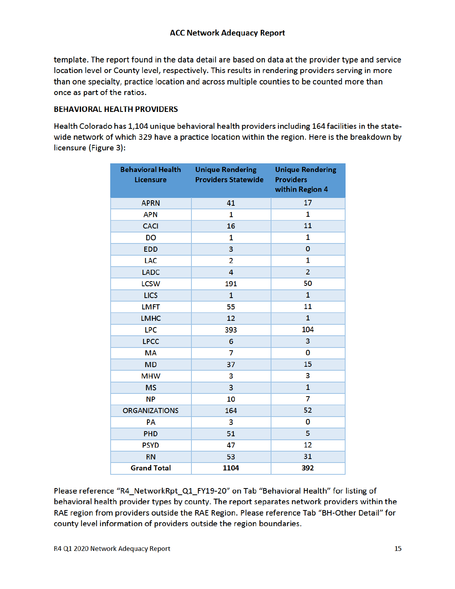template. The report found in the data detail are based on data at the provider type and service location level or County level, respectively. This results in rendering providers serving in more than one specialty, practice location and across multiple counties to be counted more than once as part of the ratios.

#### **BEHAVIORAL HEALTH PROVIDERS**

Health Colorado has 1,104 unique behavioral health providers including 164 facilities in the statewide network of which 329 have a practice location within the region. Here is the breakdown by licensure (Figure 3):

| <b>Behavioral Health</b><br><b>Licensure</b> | <b>Unique Rendering</b><br><b>Providers Statewide</b> | <b>Unique Rendering</b><br><b>Providers</b><br>within Region 4 |
|----------------------------------------------|-------------------------------------------------------|----------------------------------------------------------------|
| <b>APRN</b>                                  | 41                                                    | 17                                                             |
| <b>APN</b>                                   | 1                                                     | 1                                                              |
| <b>CACI</b>                                  | 16                                                    | 11                                                             |
| <b>DO</b>                                    | 1                                                     | 1                                                              |
| <b>EDD</b>                                   | 3                                                     | 0                                                              |
| <b>LAC</b>                                   | $\overline{2}$                                        | 1                                                              |
| <b>LADC</b>                                  | 4                                                     | $\overline{2}$                                                 |
| <b>LCSW</b>                                  | 191                                                   | 50                                                             |
| <b>LICS</b>                                  | $\mathbf{1}$                                          | $\mathbf{1}$                                                   |
| <b>LMFT</b>                                  | 55                                                    | 11                                                             |
| <b>LMHC</b>                                  | 12                                                    | $\mathbf{1}$                                                   |
| <b>LPC</b>                                   | 393                                                   | 104                                                            |
| <b>LPCC</b>                                  | 6                                                     | 3                                                              |
| <b>MA</b>                                    | 7                                                     | 0                                                              |
| <b>MD</b>                                    | 37                                                    | 15                                                             |
| <b>MHW</b>                                   | 3                                                     | 3                                                              |
| <b>MS</b>                                    | 3                                                     | $\mathbf{1}$                                                   |
| <b>NP</b>                                    | 10                                                    | 7                                                              |
| <b>ORGANIZATIONS</b>                         | 164                                                   | 52                                                             |
| PA                                           | 3                                                     | 0                                                              |
| <b>PHD</b>                                   | 51                                                    | 5                                                              |
| <b>PSYD</b>                                  | 47                                                    | 12                                                             |
| <b>RN</b>                                    | 53                                                    | 31                                                             |
| <b>Grand Total</b>                           | 1104                                                  | 392                                                            |

Please reference "R4\_NetworkRpt\_Q1\_FY19-20" on Tab "Behavioral Health" for listing of behavioral health provider types by county. The report separates network providers within the RAE region from providers outside the RAE Region. Please reference Tab "BH-Other Detail" for county level information of providers outside the region boundaries.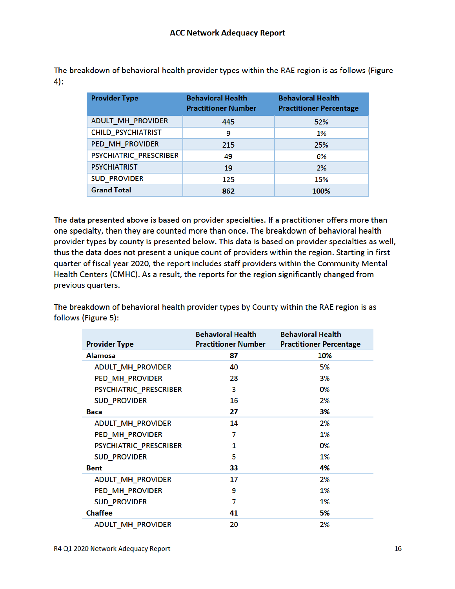The breakdown of behavioral health provider types within the RAE region is as follows (Figure  $4):$ 

| <b>Provider Type</b>   | <b>Behavioral Health</b><br><b>Practitioner Number</b> | <b>Behavioral Health</b><br><b>Practitioner Percentage</b> |
|------------------------|--------------------------------------------------------|------------------------------------------------------------|
| ADULT_MH_PROVIDER      | 445                                                    | 52%                                                        |
| CHILD_PSYCHIATRIST     | 9                                                      | 1%                                                         |
| PED_MH_PROVIDER        | 215                                                    | 25%                                                        |
| PSYCHIATRIC PRESCRIBER | 49                                                     | 6%                                                         |
| <b>PSYCHIATRIST</b>    | 19                                                     | 2%                                                         |
| <b>SUD PROVIDER</b>    | 125                                                    | 15%                                                        |
| <b>Grand Total</b>     | 862                                                    | 100%                                                       |

The data presented above is based on provider specialties. If a practitioner offers more than one specialty, then they are counted more than once. The breakdown of behavioral health provider types by county is presented below. This data is based on provider specialties as well, thus the data does not present a unique count of providers within the region. Starting in first quarter of fiscal year 2020, the report includes staff providers within the Community Mental Health Centers (CMHC). As a result, the reports for the region significantly changed from previous quarters.

The breakdown of behavioral health provider types by County within the RAE region is as follows (Figure 5):

|                          | <b>Behavioral Health</b>   | <b>Behavioral Health</b>       |
|--------------------------|----------------------------|--------------------------------|
| <b>Provider Type</b>     | <b>Practitioner Number</b> | <b>Practitioner Percentage</b> |
| <b>Alamosa</b>           | 87                         | 10%                            |
| ADULT_MH_PROVIDER        | 40                         | 5%                             |
| PED_MH_PROVIDER          | 28                         | 3%                             |
| PSYCHIATRIC_PRESCRIBER   | 3                          | 0%                             |
| <b>SUD_PROVIDER</b>      | 16                         | 2%                             |
| <b>Baca</b>              | 27                         | 3%                             |
| ADULT_MH_PROVIDER        | 14                         | 2%                             |
| PED_MH_PROVIDER          | 7                          | 1%                             |
| PSYCHIATRIC_PRESCRIBER   | 1                          | 0%                             |
| <b>SUD_PROVIDER</b>      | 5                          | 1%                             |
| <b>Bent</b>              | 33                         | 4%                             |
| <b>ADULT_MH_PROVIDER</b> | 17                         | 2%                             |
| PED_MH_PROVIDER          | 9                          | 1%                             |
| <b>SUD_PROVIDER</b>      | 7                          | 1%                             |
| <b>Chaffee</b>           | 41                         | 5%                             |
| <b>ADULT MH PROVIDER</b> | 20                         | 2%                             |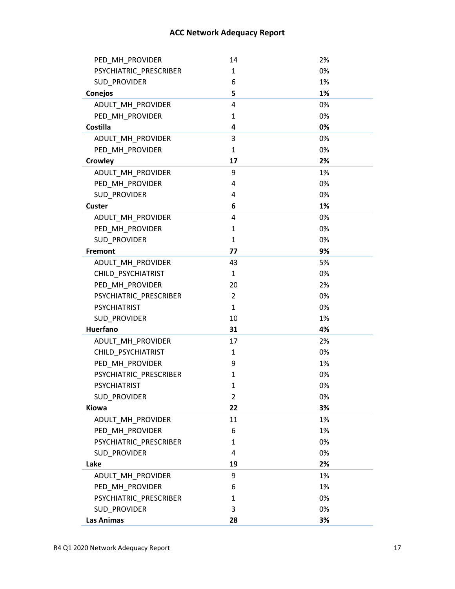| PED_MH_PROVIDER        | 14             | 2% |
|------------------------|----------------|----|
| PSYCHIATRIC_PRESCRIBER | 1              | 0% |
| SUD_PROVIDER           | 6              | 1% |
| Conejos                | 5              | 1% |
| ADULT_MH_PROVIDER      | 4              | 0% |
| PED_MH_PROVIDER        | $\mathbf{1}$   | 0% |
| Costilla               | 4              | 0% |
| ADULT_MH_PROVIDER      | 3              | 0% |
| PED_MH_PROVIDER        | 1              | 0% |
| Crowley                | 17             | 2% |
| ADULT_MH_PROVIDER      | 9              | 1% |
| PED_MH_PROVIDER        | 4              | 0% |
| SUD PROVIDER           | 4              | 0% |
| Custer                 | 6              | 1% |
| ADULT_MH_PROVIDER      | 4              | 0% |
| PED_MH_PROVIDER        | 1              | 0% |
| <b>SUD PROVIDER</b>    | 1              | 0% |
| Fremont                | 77             | 9% |
| ADULT_MH_PROVIDER      | 43             | 5% |
| CHILD PSYCHIATRIST     | $\mathbf{1}$   | 0% |
| PED_MH_PROVIDER        | 20             | 2% |
| PSYCHIATRIC PRESCRIBER | $\overline{2}$ | 0% |
| <b>PSYCHIATRIST</b>    | $\mathbf{1}$   | 0% |
| SUD PROVIDER           | 10             | 1% |
| <b>Huerfano</b>        | 31             | 4% |
| ADULT_MH_PROVIDER      | 17             | 2% |
| CHILD_PSYCHIATRIST     | 1              | 0% |
| PED_MH_PROVIDER        | 9              | 1% |
| PSYCHIATRIC_PRESCRIBER | 1              | 0% |
| <b>PSYCHIATRIST</b>    | $\mathbf{1}$   | 0% |
| SUD_PROVIDER           | $\overline{2}$ | 0% |
| <b>Kiowa</b>           | 22             | 3% |
| ADULT MH PROVIDER      | 11             | 1% |
| PED_MH_PROVIDER        | 6              | 1% |
| PSYCHIATRIC_PRESCRIBER | 1              | 0% |
| SUD PROVIDER           | 4              | 0% |
| Lake                   | 19             | 2% |
| ADULT MH PROVIDER      | 9              | 1% |
| PED_MH_PROVIDER        | 6              | 1% |
| PSYCHIATRIC_PRESCRIBER | 1              | 0% |
| SUD_PROVIDER           | 3              | 0% |
| <b>Las Animas</b>      | 28             | 3% |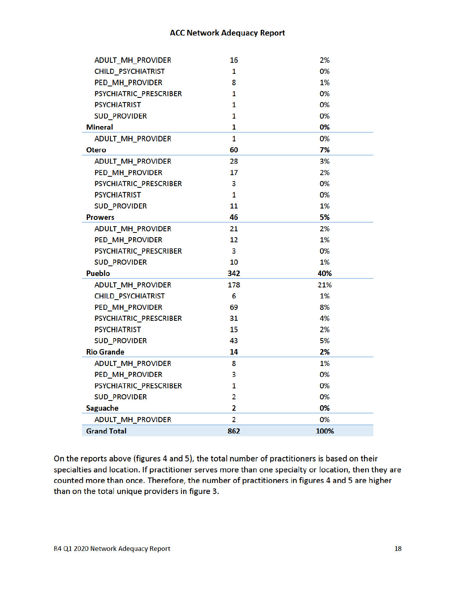| ADULT_MH_PROVIDER         | 16             | 2%   |
|---------------------------|----------------|------|
| <b>CHILD_PSYCHIATRIST</b> | 1              | 0%   |
| PED_MH_PROVIDER           | 8              | 1%   |
| PSYCHIATRIC_PRESCRIBER    | 1              | 0%   |
| <b>PSYCHIATRIST</b>       | 1              | 0%   |
| <b>SUD PROVIDER</b>       | 1              | 0%   |
| Mineral                   | 1              | 0%   |
| ADULT_MH_PROVIDER         | 1              | 0%   |
| <b>Otero</b>              | 60             | 7%   |
| ADULT_MH_PROVIDER         | 28             | 3%   |
| PED_MH_PROVIDER           | 17             | 2%   |
| PSYCHIATRIC_PRESCRIBER    | 3              | 0%   |
| <b>PSYCHIATRIST</b>       | 1              | 0%   |
| <b>SUD PROVIDER</b>       | 11             | 1%   |
| <b>Prowers</b>            | 46             | 5%   |
| ADULT_MH_PROVIDER         | 21             | 2%   |
| PED MH PROVIDER           | 12             | 1%   |
| PSYCHIATRIC_PRESCRIBER    | 3              | 0%   |
| <b>SUD_PROVIDER</b>       | 10             | 1%   |
| <b>Pueblo</b>             | 342            | 40%  |
| ADULT_MH_PROVIDER         | 178            | 21%  |
| CHILD_PSYCHIATRIST        | 6              | 1%   |
| PED_MH_PROVIDER           | 69             | 8%   |
| PSYCHIATRIC_PRESCRIBER    | 31             | 4%   |
| <b>PSYCHIATRIST</b>       | 15             | 2%   |
| <b>SUD PROVIDER</b>       | 43             | 5%   |
| <b>Rio Grande</b>         | 14             | 2%   |
| <b>ADULT_MH_PROVIDER</b>  | 8              | 1%   |
| PED_MH_PROVIDER           | 3              | 0%   |
| PSYCHIATRIC_PRESCRIBER    | 1              | 0%   |
| <b>SUD_PROVIDER</b>       | $\overline{2}$ | 0%   |
| Saguache                  | $\overline{2}$ | 0%   |
| ADULT_MH_PROVIDER         | $\overline{2}$ | 0%   |
| <b>Grand Total</b>        | 862            | 100% |

On the reports above (figures 4 and 5), the total number of practitioners is based on their specialties and location. If practitioner serves more than one specialty or location, then they are counted more than once. Therefore, the number of practitioners in figures 4 and 5 are higher than on the total unique providers in figure 3.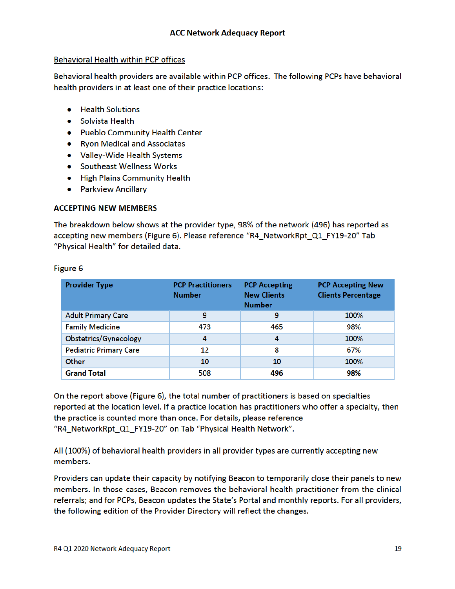### **Behavioral Health within PCP offices**

Behavioral health providers are available within PCP offices. The following PCPs have behavioral health providers in at least one of their practice locations:

- Health Solutions
- Solvista Health
- Pueblo Community Health Center
- Ryon Medical and Associates
- Valley-Wide Health Systems
- Southeast Wellness Works
- High Plains Community Health
- Parkview Ancillary

## **ACCEPTING NEW MEMBERS**

The breakdown below shows at the provider type, 98% of the network (496) has reported as accepting new members (Figure 6). Please reference "R4\_NetworkRpt\_Q1\_FY19-20" Tab "Physical Health" for detailed data.

| <b>Provider Type</b>          | <b>PCP Practitioners</b><br><b>Number</b> | <b>PCP Accepting</b><br><b>New Clients</b><br><b>Number</b> | <b>PCP Accepting New</b><br><b>Clients Percentage</b> |
|-------------------------------|-------------------------------------------|-------------------------------------------------------------|-------------------------------------------------------|
| <b>Adult Primary Care</b>     | 9                                         | 9                                                           | 100%                                                  |
| <b>Family Medicine</b>        | 473                                       | 465                                                         | 98%                                                   |
| Obstetrics/Gynecology         | 4                                         | 4                                                           | 100%                                                  |
| <b>Pediatric Primary Care</b> | 12                                        | 8                                                           | 67%                                                   |
| Other                         | 10                                        | 10                                                          | 100%                                                  |
| <b>Grand Total</b>            | 508                                       | 496                                                         | 98%                                                   |

#### Figure 6

On the report above (Figure 6), the total number of practitioners is based on specialties reported at the location level. If a practice location has practitioners who offer a specialty, then the practice is counted more than once. For details, please reference "R4\_NetworkRpt\_Q1\_FY19-20" on Tab "Physical Health Network".

All (100%) of behavioral health providers in all provider types are currently accepting new members.

Providers can update their capacity by notifying Beacon to temporarily close their panels to new members. In those cases, Beacon removes the behavioral health practitioner from the clinical referrals; and for PCPs, Beacon updates the State's Portal and monthly reports. For all providers, the following edition of the Provider Directory will reflect the changes.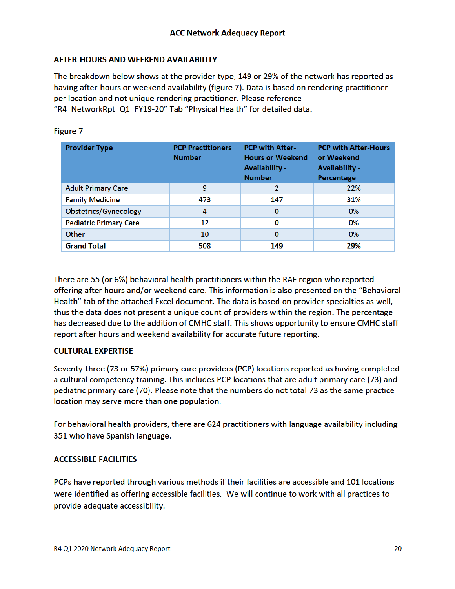### **AFTER-HOURS AND WEEKEND AVAILABILITY**

The breakdown below shows at the provider type, 149 or 29% of the network has reported as having after-hours or weekend availability (figure 7). Data is based on rendering practitioner per location and not unique rendering practitioner. Please reference "R4\_NetworkRpt\_Q1\_FY19-20" Tab "Physical Health" for detailed data.

| <b>Provider Type</b>          | <b>PCP Practitioners</b><br><b>Number</b> | <b>PCP with After-</b><br><b>Hours or Weekend</b><br><b>Availability -</b><br><b>Number</b> | <b>PCP with After-Hours</b><br>or Weekend<br><b>Availability -</b><br>Percentage |
|-------------------------------|-------------------------------------------|---------------------------------------------------------------------------------------------|----------------------------------------------------------------------------------|
| <b>Adult Primary Care</b>     | 9                                         | 2                                                                                           | 22%                                                                              |
| <b>Family Medicine</b>        | 473                                       | 147                                                                                         | 31%                                                                              |
| Obstetrics/Gynecology         | 4                                         | $\bf{0}$                                                                                    | 0%                                                                               |
| <b>Pediatric Primary Care</b> | 12                                        | 0                                                                                           | 0%                                                                               |
| Other                         | 10                                        | 0                                                                                           | 0%                                                                               |
| <b>Grand Total</b>            | 508                                       | 149                                                                                         | 29%                                                                              |

### Figure 7

There are 55 (or 6%) behavioral health practitioners within the RAE region who reported offering after hours and/or weekend care. This information is also presented on the "Behavioral Health" tab of the attached Excel document. The data is based on provider specialties as well, thus the data does not present a unique count of providers within the region. The percentage has decreased due to the addition of CMHC staff. This shows opportunity to ensure CMHC staff report after hours and weekend availability for accurate future reporting.

#### **CULTURAL EXPERTISE**

Seventy-three (73 or 57%) primary care providers (PCP) locations reported as having completed a cultural competency training. This includes PCP locations that are adult primary care (73) and pediatric primary care (70). Please note that the numbers do not total 73 as the same practice location may serve more than one population.

For behavioral health providers, there are 624 practitioners with language availability including 351 who have Spanish language.

## **ACCESSIBLE FACILITIES**

PCPs have reported through various methods if their facilities are accessible and 101 locations were identified as offering accessible facilities. We will continue to work with all practices to provide adequate accessibility.